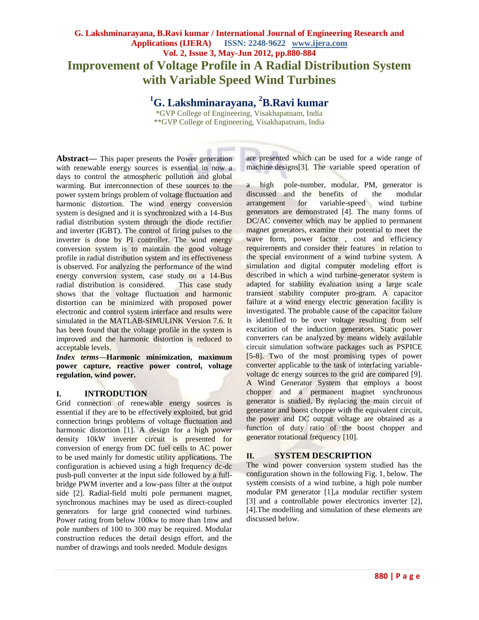# **G. Lakshminarayana, B.Ravi kumar / International Journal of Engineering Research and Applications (IJERA) ISSN: 2248-9622 www.ijera.com Vol. 2, Issue 3, May-Jun 2012, pp.880-884 Improvement of Voltage Profile in A Radial Distribution System with Variable Speed Wind Turbines**

**<sup>1</sup>G. Lakshminarayana, <sup>2</sup>B.Ravi kumar**

\*GVP College of Engineering, Visakhapatnam, India \*\*GVP College of Engineering, Visakhapatnam, India

Abstract— This paper presents the Power generation with renewable energy sources is essential in now a days to control the atmospheric pollution and global warming. But interconnection of these sources to the power system brings problem of voltage fluctuation and harmonic distortion. The wind energy conversion system is designed and it is synchronized with a 14-Bus radial distribution system through the diode rectifier and inverter (IGBT). The control of firing pulses to the inverter is done by PI controller. The wind energy conversion system is to maintain the good voltage profile in radial distribution system and its effectiveness is observed. For analyzing the performance of the wind energy conversion system, case study on a 14-Bus radial distribution is considered. This case study shows that the voltage fluctuation and harmonic distortion can be minimized with proposed power electronic and control system interface and results were simulated in the MATLAB-SIMULINK Version 7.6. It has been found that the voltage profile in the system is improved and the harmonic distortion is reduced to acceptable levels.

*Index terms***—Harmonic minimization, maximum power capture, reactive power control, voltage regulation, wind power.**

## **I. INTRODUTION**

Grid connection of renewable energy sources is essential if they are to be effectively exploited, but grid connection brings problems of voltage fluctuation and harmonic distortion [1]. A design for a high power density 10kW inverter circuit is presented for conversion of energy from DC fuel cells to AC power to be used mainly for domestic utility applications. The configuration is achieved using a high frequency dc-dc push-pull converter at the input side followed by a fullbridge PWM inverter and a low-pass filter at the output side [2]. Radial-field multi pole permanent magnet, synchronous machines may be used as direct-coupled generators for large grid connected wind turbines. Power rating from below 100kw to more than 1mw and pole numbers of 100 to 300 may be required. Modular construction reduces the detail design effort, and the number of drawings and tools needed. Module designs

are presented which can be used for a wide range of machine designs[3]. The variable speed operation of

a high pole-number, modular, PM, generator is discussed and the benefits of the modular arrangement for variable-speed wind turbine generators are demonstrated [4]. The many forms of DC/AC converter which may be applied to permanent magnet generators, examine their potential to meet the wave form, power factor, cost and efficiency requirements and consider their features in relation to the special environment of a wind turbine system. A simulation and digital computer modeling effort is described in which a wind turbine-generator system is adapted for stability evaluation using a large scale transient stability computer pro-gram. A capacitor failure at a wind energy electric generation facility is investigated. The probable cause of the capacitor failure is identified to be over voltage resulting from self excitation of the induction generators. Static power converters can be analyzed by means widely available circuit simulation software packages such as PSPICE [5-8]. Two of the most promising types of power converter applicable to the task of interfacing variablevoltage dc energy sources to the grid are compared [9]. A Wind Generator System that employs a boost chopper and a permanent magnet synchronous generator is studied. By replacing the main circuit of generator and boost chopper with the equivalent circuit, the power and DC output voltage are obtained as a function of duty ratio of the boost chopper and generator rotational frequency [10].

# **II. SYSTEM DESCRIPTION**

The wind power conversion system studied has the configuration shown in the following Fig. 1, below. The system consists of a wind turbine, a high pole number modular PM generator [1],a modular rectifier system [3] and a controllable power electronics inverter [2], [4].The modelling and simulation of these elements are discussed below.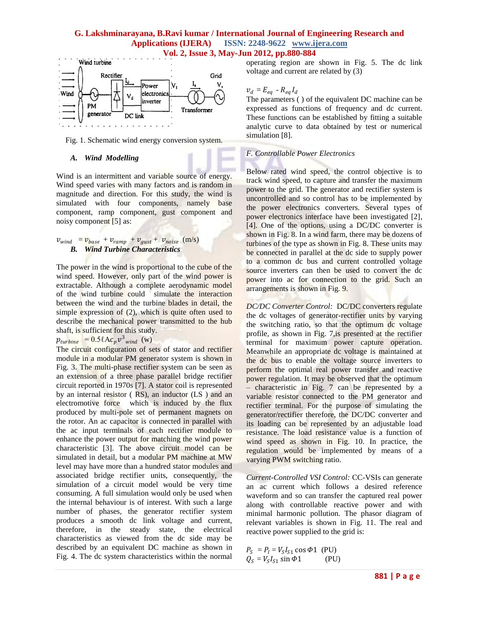## **G. Lakshminarayana, B.Ravi kumar / International Journal of Engineering Research and Applications (IJERA) ISSN: 2248-9622 www.ijera.com Vol. 2, Issue 3, May-Jun 2012, pp.880-884**



Fig. 1. Schematic wind energy conversion system.

#### *A. Wind Modelling*

Wind is an intermittent and variable source of energy. Wind speed varies with many factors and is random in magnitude and direction. For this study, the wind is simulated with four components, namely base component, ramp component, gust component and noisy component [5] as:

#### $v_{wind} = v_{base} + v_{ramp} + v_{gust} + v_{noise}$  (m/s) *B. Wind Turbine Characteristics*

The power in the wind is proportional to the cube of the wind speed. However, only part of the wind power is extractable. Although a complete aerodynamic model of the wind turbine could simulate the interaction between the wind and the turbine blades in detail, the simple expression of (2), which is quite often used to describe the mechanical power transmitted to the hub shaft, is sufficient for this study.

 $p_{\text{turbine}} = 0.5 \ell A c_p v_{\text{wind}}^3$  (w)

The circuit configuration of sets of stator and rectifier module in a modular PM generator system is shown in Fig. 3. The multi-phase rectifier system can be seen as an extension of a three phase parallel bridge rectifier circuit reported in 1970s [7]. A stator coil is represented by an internal resistor ( RS), an inductor (LS ) and an electromotive force which is induced by the flux produced by multi-pole set of permanent magnets on the rotor. An ac capacitor is connected in parallel with the ac input terminals of each rectifier module to enhance the power output for matching the wind power characteristic [3]. The above circuit model can be simulated in detail, but a modular PM machine at MW level may have more than a hundred stator modules and associated bridge rectifier units, consequently, the simulation of a circuit model would be very time consuming. A full simulation would only be used when the internal behaviour is of interest. With such a large number of phases, the generator rectifier system produces a smooth dc link voltage and current, therefore, in the steady state, the electrical characteristics as viewed from the dc side may be described by an equivalent DC machine as shown in Fig. 4. The dc system characteristics within the normal

operating region are shown in Fig. 5. The dc link voltage and current are related by (3)

# $v_d = E_{eq} - R_{eq} I_d$

The parameters ( ) of the equivalent DC machine can be expressed as functions of frequency and dc current. These functions can be established by fitting a suitable analytic curve to data obtained by test or numerical simulation [8].

# *F. Controllable Power Electronics*

Below rated wind speed, the control objective is to track wind speed, to capture and transfer the maximum power to the grid. The generator and rectifier system is uncontrolled and so control has to be implemented by the power electronics converters. Several types of power electronics interface have been investigated [2], [4]. One of the options, using a DC/DC converter is shown in Fig. 8. In a wind farm, there may be dozens of turbines of the type as shown in Fig. 8. These units may be connected in parallel at the dc side to supply power to a common dc bus and current controlled voltage source inverters can then be used to convert the dc power into ac for connection to the grid. Such an arrangements is shown in Fig. 9.

*DC/DC Converter Control:* DC/DC converters regulate the dc voltages of generator-rectifier units by varying the switching ratio, so that the optimum dc voltage profile, as shown in Fig. 7,is presented at the rectifier terminal for maximum power capture operation. Meanwhile an appropriate dc voltage is maintained at the dc bus to enable the voltage source inverters to perform the optimal real power transfer and reactive power regulation. It may be observed that the optimum – characteristic in Fig. 7 can be represented by a variable resistor connected to the PM generator and rectifier terminal. For the purpose of simulating the generator/rectifier therefore, the DC/DC converter and its loading can be represented by an adjustable load resistance. The load resistance value is a function of wind speed as shown in Fig. 10. In practice, the regulation would be implemented by means of a varying PWM switching ratio.

*Current-Controlled VSI Control:* CC-VSIs can generate an ac current which follows a desired reference waveform and so can transfer the captured real power along with controllable reactive power and with minimal harmonic pollution. The phasor diagram of relevant variables is shown in Fig. 11. The real and reactive power supplied to the grid is:

 $P_S = P_I = V_S I_{S1} \cos \Phi 1$  (PU)  $Q_S = V_S I_{S1} \sin \Phi 1$  (PU)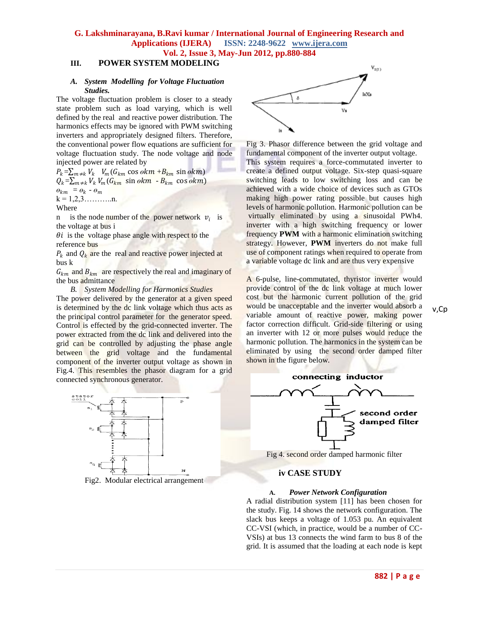**G. Lakshminarayana, B.Ravi kumar / International Journal of Engineering Research and Applications (IJERA) ISSN: 2248-9622 www.ijera.com Vol. 2, Issue 3, May-Jun 2012, pp.880-884**

#### **III. POWER SYSTEM MODELING**

#### *A. System Modelling for Voltage Fluctuation Studies.*

The voltage fluctuation problem is closer to a steady state problem such as load varying, which is well defined by the real and reactive power distribution. The harmonics effects may be ignored with PWM switching inverters and appropriately designed filters. Therefore, the conventional power flow equations are sufficient for voltage fluctuation study. The node voltage and node injected power are related by

 $P_k = \sum_{m \neq k} V_k$   $V_m(G_{km} \cos \theta k m + B_{km} \sin \theta k m)$  $Q_k = \sum_{m \neq k} V_k V_m (G_{km} \sin \theta k m - B_{km} \cos \theta k m)$  $\theta_{km} = \theta_k - \theta_m$  $k = 1, 2, 3, \ldots, n.$ 

Where

n is the node number of the power network  $v_i$  is the voltage at bus i

 $\theta i$  is the voltage phase angle with respect to the reference bus

 $P_k$  and  $Q_k$  are the real and reactive power injected at bus k

 $G_{km}$  and  $B_{km}$  are respectively the real and imaginary of the bus admittance

*B. System Modelling for Harmonics Studies*

The power delivered by the generator at a given speed is determined by the dc link voltage which thus acts as the principal control parameter for the generator speed. Control is effected by the grid-connected inverter. The power extracted from the dc link and delivered into the grid can be controlled by adjusting the phase angle between the grid voltage and the fundamental component of the inverter output voltage as shown in Fig.4. This resembles the phasor diagram for a grid connected synchronous generator.



Fig2. Modular electrical arrangement



Fig 3. Phasor difference between the grid voltage and fundamental component of the inverter output voltage. This system requires a force-commutated inverter to create a defined output voltage. Six-step quasi-square switching leads to low switching loss and can be achieved with a wide choice of devices such as GTOs making high power rating possible but causes high levels of harmonic pollution. Harmonic pollution can be virtually eliminated by using a sinusoidal PWh4. inverter with a high switching frequency or lower frequency **PWM** with a harmonic elimination switching strategy. However, **PWM** inverters do not make full use of component ratings when required to operate from a variable voltage dc link and are thus very expensive

A 6-pulse, line-commutated, thyristor inverter would provide control of the dc link voltage at much lower cost but the harmonic current pollution of the grid would be unacceptable and the inverter would absorb a variable amount of reactive power, making power factor correction difficult. Grid-side filtering or using an inverter with 12 or more pulses would reduce the harmonic pollution. The harmonics in the system can be eliminated by using the second order damped filter shown in the figure below.



Fig 4. second order damped harmonic filter

#### **iv CASE STUDY**

#### **A.** *Power Network Configuration*

A radial distribution system [11] has been chosen for the study. Fig. 14 shows the network configuration. The slack bus keeps a voltage of 1.053 pu. An equivalent CC-VSI (which, in practice, would be a number of CC-VSIs) at bus 13 connects the wind farm to bus 8 of the grid. It is assumed that the loading at each node is kept

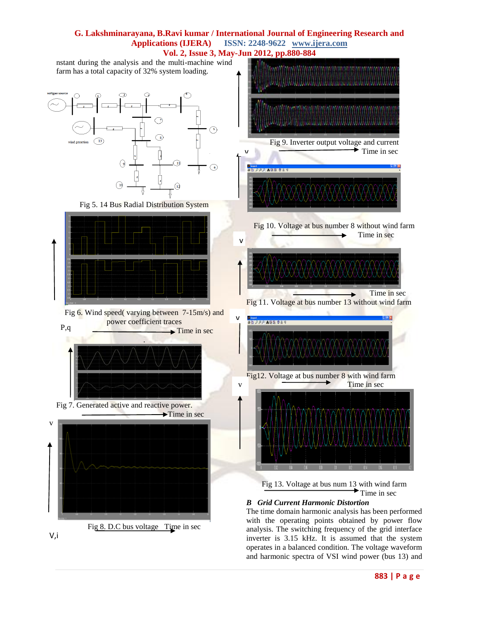

inverter is 3.15 kHz. It is assumed that the system operates in a balanced condition. The voltage waveform and harmonic spectra of VSI wind power (bus 13) and